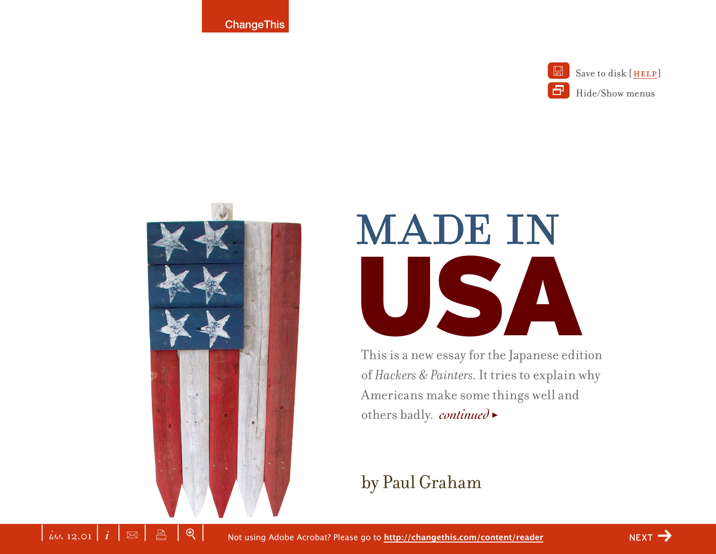**ChangeThis** 



Save to disk [HELP] Hide/Show menus



# **MADE IN** USA

This is a new essay for the Japanese edition of *Hackers & Painters*. It tries to explain why Americans make some things well and others badly. *continued* >

### by Paul Graham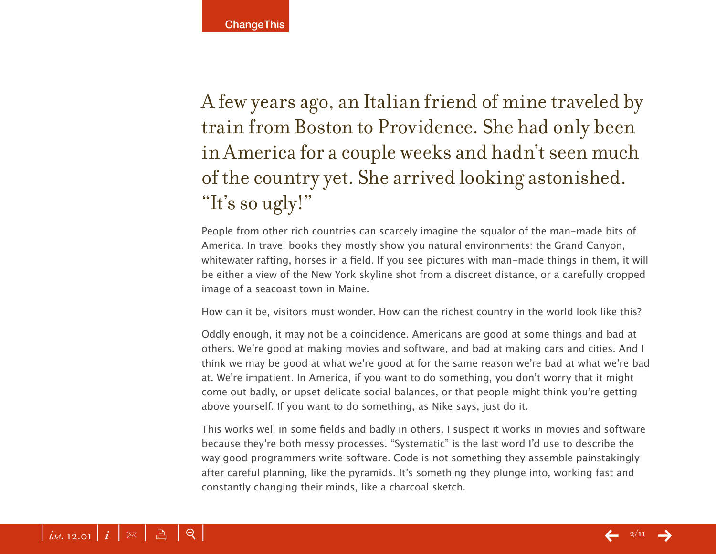A few years ago, an Italian friend of mine traveled by train from Boston to Providence. She had only been in America for a couple weeks and hadn't seen much of the country yet. She arrived looking astonished. "It's so ugly!"

People from other rich countries can scarcely imagine the squalor of the man-made bits of America. In travel books they mostly show you natural environments: the Grand Canyon, whitewater rafting, horses in a field. If you see pictures with man-made things in them, it will be either a view of the New York skyline shot from a discreet distance, or a carefully cropped image of a seacoast town in Maine.

How can it be, visitors must wonder. How can the richest country in the world look like this?

Oddly enough, it may not be a coincidence. Americans are good at some things and bad at others. We're good at making movies and software, and bad at making cars and cities. And I think we may be good at what we're good at for the same reason we're bad at what we're bad at. We're impatient. In America, if you want to do something, you don't worry that it might come out badly, or upset delicate social balances, or that people might think you're getting above yourself. If you want to do something, as Nike says, just do it.

This works well in some fields and badly in others. I suspect it works in movies and software because they're both messy processes. "Systematic" is the last word I'd use to describe the way good programmers write software. Code is not something they assemble painstakingly after careful planning, like the pyramids. It's something they plunge into, working fast and constantly changing their minds, like a charcoal sketch.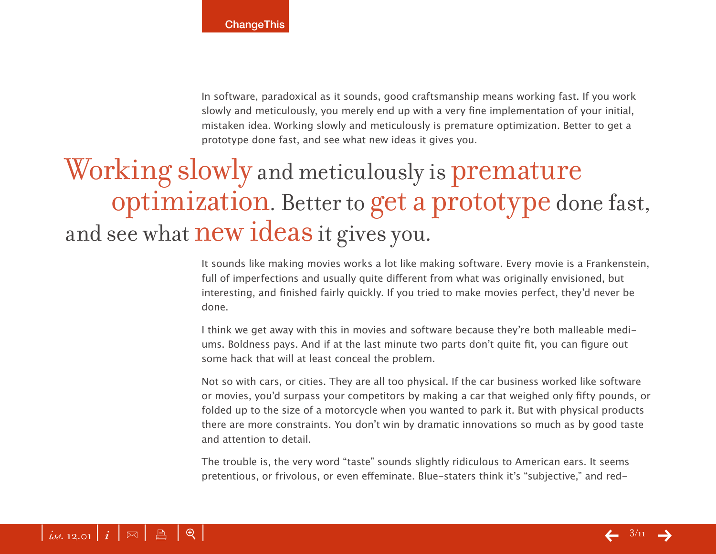In software, paradoxical as it sounds, good craftsmanship means working fast. If you work slowly and meticulously, you merely end up with a very fine implementation of your initial, mistaken idea. Working slowly and meticulously is premature optimization. Better to get a prototype done fast, and see what new ideas it gives you.

# Working slowly and meticulously is premature optimization. Better to get a prototype done fast, and see what **new ideas** it gives you.

It sounds like making movies works a lot like making software. Every movie is a Frankenstein, full of imperfections and usually quite different from what was originally envisioned, but interesting, and finished fairly quickly. If you tried to make movies perfect, they'd never be done.

I think we get away with this in movies and software because they're both malleable mediums. Boldness pays. And if at the last minute two parts don't quite fit, you can figure out some hack that will at least conceal the problem.

Not so with cars, or cities. They are all too physical. If the car business worked like software or movies, you'd surpass your competitors by making a car that weighed only fifty pounds, or folded up to the size of a motorcycle when you wanted to park it. But with physical products there are more constraints. You don't win by dramatic innovations so much as by good taste and attention to detail.

The trouble is, the very word "taste" sounds slightly ridiculous to American ears. It seems pretentious, or frivolous, or even effeminate. Blue-staters think it's "subjective," and red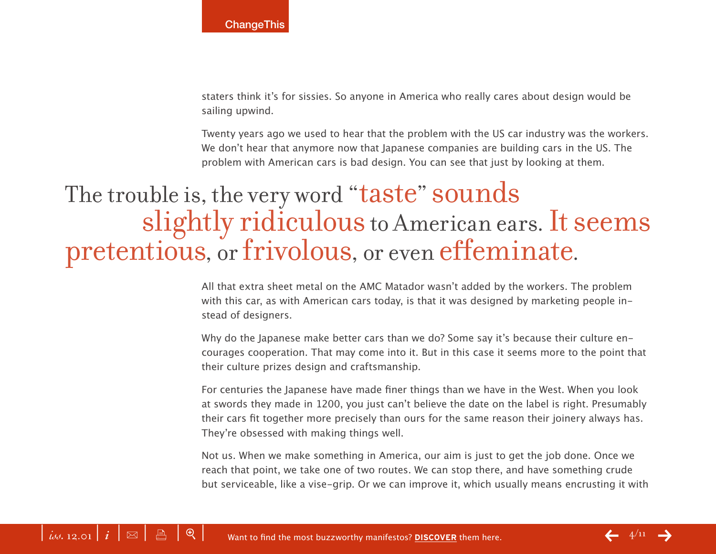staters think it's for sissies. So anyone in America who really cares about design would be sailing upwind.

Twenty years ago we used to hear that the problem with the US car industry was the workers. We don't hear that anymore now that Japanese companies are building cars in the US. The problem with American cars is bad design. You can see that just by looking at them.

## The trouble is, the very word "taste" sounds slightly ridiculous to American ears. It seems pretentious, or frivolous, or even effeminate.

All that extra sheet metal on the AMC Matador wasn't added by the workers. The problem with this car, as with American cars today, is that it was designed by marketing people instead of designers.

Why do the Japanese make better cars than we do? Some say it's because their culture encourages cooperation. That may come into it. But in this case it seems more to the point that their culture prizes design and craftsmanship.

For centuries the Japanese have made finer things than we have in the West. When you look at swords they made in 1200, you just can't believe the date on the label is right. Presumably their cars fit together more precisely than ours for the same reason their joinery always has. They're obsessed with making things well.

Not us. When we make something in America, our aim is just to get the job done. Once we reach that point, we take one of two routes. We can stop there, and have something crude but serviceable, like a vise-grip. Or we can improve it, which usually means encrusting it with

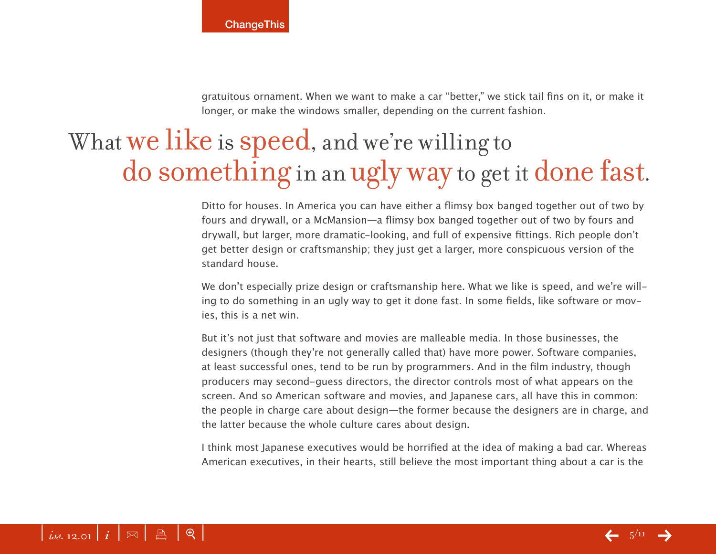gratuitous ornament. When we want to make a car "better," we stick tail fins on it, or make it longer, or make the windows smaller, depending on the current fashion.

# What we like is speed, and we're willing to do something in an ugly way to get it done fast.

Ditto for houses. In America you can have either a flimsy box banged together out of two by fours and drywall, or a McMansion—a flimsy box banged together out of two by fours and drywall, but larger, more dramatic-looking, and full of expensive fittings. Rich people don't get better design or craftsmanship; they just get a larger, more conspicuous version of the standard house.

We don't especially prize design or craftsmanship here. What we like is speed, and we're willing to do something in an ugly way to get it done fast. In some fields, like software or movies, this is a net win.

But it's not just that software and movies are malleable media. In those businesses, the designers (though they're not generally called that) have more power. Software companies, at least successful ones, tend to be run by programmers. And in the film industry, though producers may second-guess directors, the director controls most of what appears on the screen. And so American software and movies, and Japanese cars, all have this in common: the people in charge care about design—the former because the designers are in charge, and the latter because the whole culture cares about design.

I think most Japanese executives would be horrified at the idea of making a bad car. Whereas American executives, in their hearts, still believe the most important thing about a car is the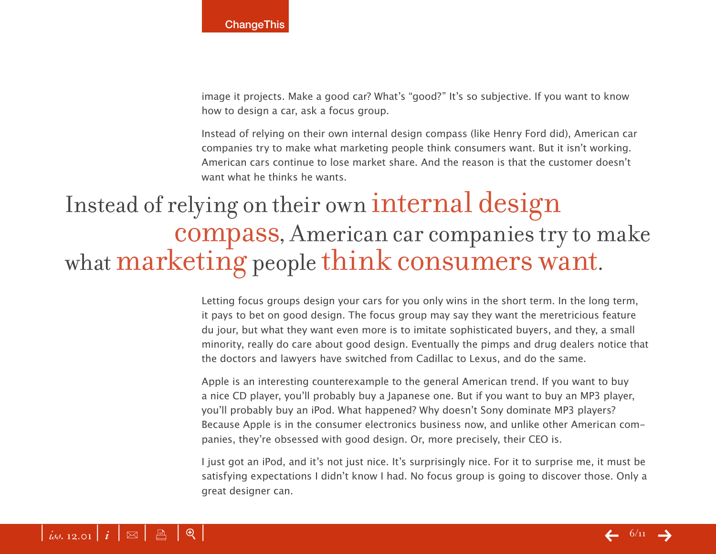image it projects. Make a good car? What's "good?" It's so subjective. If you want to know how to design a car, ask a focus group.

Instead of relying on their own internal design compass (like Henry Ford did), American car companies try to make what marketing people think consumers want. But it isn't working. American cars continue to lose market share. And the reason is that the customer doesn't want what he thinks he wants.

## Instead of relying on their own internal design compass, American car companies try to make what marketing people think consumers want.

Letting focus groups design your cars for you only wins in the short term. In the long term, it pays to bet on good design. The focus group may say they want the meretricious feature du jour, but what they want even more is to imitate sophisticated buyers, and they, a small minority, really do care about good design. Eventually the pimps and drug dealers notice that the doctors and lawyers have switched from Cadillac to Lexus, and do the same.

Apple is an interesting counterexample to the general American trend. If you want to buy a nice CD player, you'll probably buy a Japanese one. But if you want to buy an MP3 player, you'll probably buy an iPod. What happened? Why doesn't Sony dominate MP3 players? Because Apple is in the consumer electronics business now, and unlike other American companies, they're obsessed with good design. Or, more precisely, their CEO is.

I just got an iPod, and it's not just nice. It's surprisingly nice. For it to surprise me, it must be satisfying expectations I didn't know I had. No focus group is going to discover those. Only a great designer can.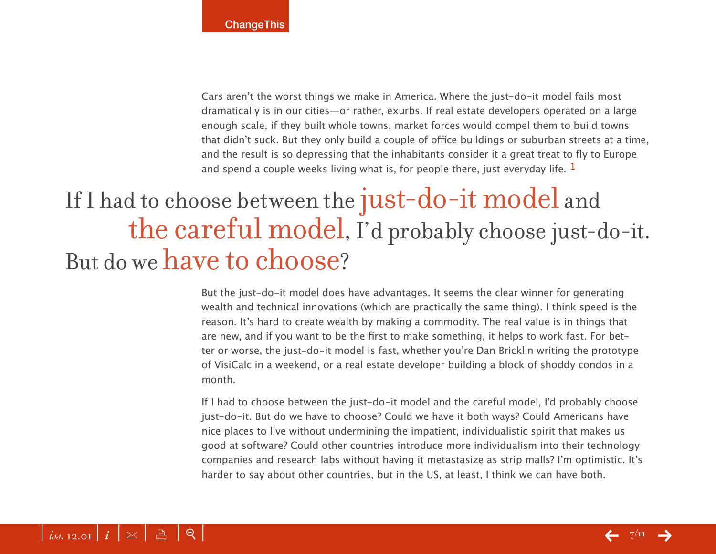Cars aren't the worst things we make in America. Where the just-do-it model fails most dramatically is in our cities—or rather, exurbs. If real estate developers operated on a large enough scale, if they built whole towns, market forces would compel them to build towns that didn't suck. But they only build a couple of office buildings or suburban streets at a time, and the result is so depressing that the inhabitants consider it a great treat to fly to Europe and spend a couple weeks living what is, for people there, just everyday life.  $<sup>1</sup>$ </sup>

# If I had to choose between the just-do-it model and the careful model, I'd probably choose just-do-it. But do we have to choose?

But the just-do-it model does have advantages. It seems the clear winner for generating wealth and technical innovations (which are practically the same thing). I think speed is the reason. It's hard to create wealth by making a commodity. The real value is in things that are new, and if you want to be the first to make something, it helps to work fast. For better or worse, the just-do-it model is fast, whether you're Dan Bricklin writing the prototype of VisiCalc in a weekend, or a real estate developer building a block of shoddy condos in a month.

If I had to choose between the just-do-it model and the careful model, I'd probably choose just-do-it. But do we have to choose? Could we have it both ways? Could Americans have nice places to live without undermining the impatient, individualistic spirit that makes us good at software? Could other countries introduce more individualism into their technology companies and research labs without having it metastasize as strip malls? I'm optimistic. It's harder to say about other countries, but in the US, at least, I think we can have both.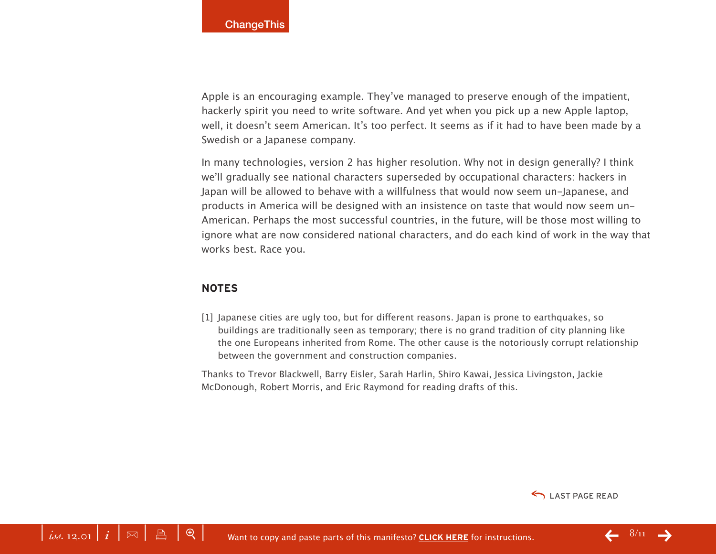Apple is an encouraging example. They've managed to preserve enough of the impatient, hackerly spirit you need to write software. And yet when you pick up a new Apple laptop, well, it doesn't seem American. It's too perfect. It seems as if it had to have been made by a Swedish or a Japanese company.

In many technologies, version 2 has higher resolution. Why not in design generally? I think we'll gradually see national characters superseded by occupational characters: hackers in Japan will be allowed to behave with a willfulness that would now seem un-Japanese, and products in America will be designed with an insistence on taste that would now seem un-American. Perhaps the most successful countries, in the future, will be those most willing to ignore what are now considered national characters, and do each kind of work in the way that works best. Race you.

#### **NOTES**

[1] Japanese cities are ugly too, but for different reasons. Japan is prone to earthquakes, so buildings are traditionally seen as temporary; there is no grand tradition of city planning like the one Europeans inherited from Rome. The other cause is the notoriously corrupt relationship between the government and construction companies.

Thanks to Trevor Blackwell, Barry Eisler, Sarah Harlin, Shiro Kawai, Jessica Livingston, Jackie McDonough, Robert Morris, and Eric Raymond for reading drafts of this.

LAST PAGE READ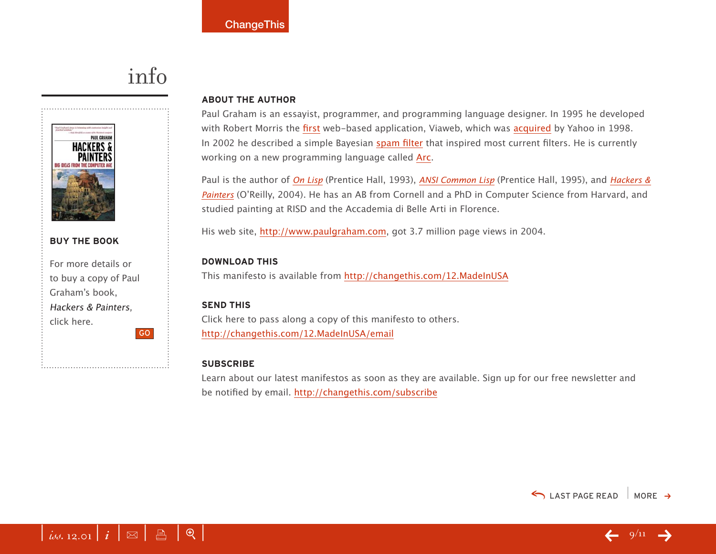### info



#### **BUY THE BOOK**

For more details or to buy a copy of Paul Graham's book, Hackers & Painters, click here. GO

#### **ABOUT THE AUTHOR**

Paul Graham is an essayist, programmer, and programming language designer. In 1995 he developed with Robert Morris the [first](http://www.paulgraham.com/first.html) web-based application, Viaweb, which was [acquired](http://docs.yahoo.com/docs/pr/release184.html) by Yahoo in 1998. In 2002 he described a simple Bayesian [spam filter](http://www.paulgraham.com/spam.html) that inspired most current filters. He is currently working on a new programming language called [Arc.](http://www.paulgraham.com/arc.html)

Paul is the author of [On Lisp](http://www.amazon.com/exec/obidos/redirect?tag=changethis-20&path=tg/detail/-/0130305529) (Prentice Hall, 1993), [ANSI Common Lisp](http://www.amazon.com/exec/obidos/redirect?tag=changethis-20&path=tg/detail/-/0133708756) (Prentice Hall, 1995), and Hackers & [Painters](http://www.amazon.com/exec/obidos/redirect?tag=changethis-20&path=tg/detail/-/0130305529) (O'Reilly, 2004). He has an AB from Cornell and a PhD in Computer Science from Harvard, and studied painting at RISD and the Accademia di Belle Arti in Florence.

His web site, [http://www.paulgraham.com,](http://www.paulgraham.com) got 3.7 million page views in 2004.

#### **DOWNLOAD THIS**

This manifesto is available from <http://changethis.com/12.MadeInUSA>

#### **SEND THIS**

Click here to pass along a copy of this manifesto to others. <http://changethis.com/12.MadeInUSA/email>

#### **SUBSCRIBE**

Learn about our latest manifestos as soon as they are available. Sign up for our free newsletter and be notified by email.<http://changethis.com/subscribe>



 $\bigcirc$  LAST PAGE READ MORE  $\rightarrow$ 

 $\leftarrow$  9/11  $\rightarrow$ 

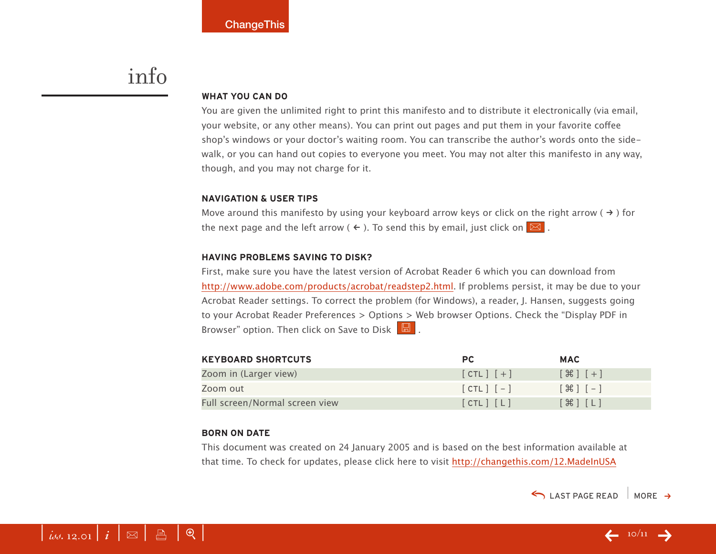### info

#### **WHAT YOU CAN DO**

You are given the unlimited right to print this manifesto and to distribute it electronically (via email, your website, or any other means). You can print out pages and put them in your favorite coffee shop's windows or your doctor's waiting room. You can transcribe the author's words onto the sidewalk, or you can hand out copies to everyone you meet. You may not alter this manifesto in any way, though, and you may not charge for it.

#### **NAVIGATION & USER TIPS**

Move around this manifesto by using your keyboard arrow keys or click on the right arrow ( $\rightarrow$ ) for the next page and the left arrow (  $\leftarrow$  ). To send this by email, just click on  $\boxed{\boxtimes}$  .

#### **HAVING PROBLEMS SAVING TO DISK?**

First, make sure you have the latest version of Acrobat Reader 6 which you can download from [http://www.adobe.com/products/acrobat/readstep2.html.](http://www.adobe.com/products/acrobat/readstep2.html) If problems persist, it may be due to your Acrobat Reader settings. To correct the problem (for Windows), a reader, J. Hansen, suggests going to your Acrobat Reader Preferences > Options > Web browser Options. Check the "Display PDF in Browser" option. Then click on Save to Disk  $\boxed{\boxtimes}$ .

| <b>KEYBOARD SHORTCUTS</b>      | PC.           | <b>MAC</b>                                                    |
|--------------------------------|---------------|---------------------------------------------------------------|
| Zoom in (Larger view)          | $[CIL]$ $[+]$ | $[$ $\frac{1}{2}$ $[$ $\frac{1}{2}$ $]$ $[$ $\frac{1}{2}$ $]$ |
| Zoom out                       | $[CHL]$ $[-]$ | $[$ $\mathcal{H}$ $]$ $[-]$                                   |
| Full screen/Normal screen view | [CHL] [L]     | $[\mathcal{H}]$ $[L]$                                         |

#### **BORN ON DATE**

This document was created on 24 January 2005 and is based on the best information available at that time. To check for updates, please click here to visit <http://changethis.com/12.MadeInUSA>